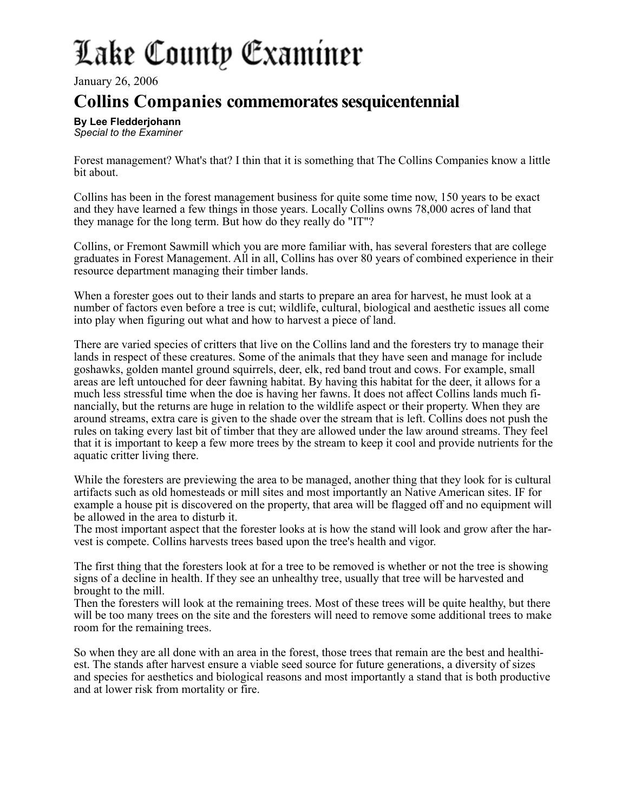## Lake County Examiner

January 26, 2006

## **Collins Companies commemorates sesquicentennial**

**By Lee Fledderjohann** *Special to the Examiner*

Forest management? What's that? I thin that it is something that The Collins Companies know a little bit about.

Collins has been in the forest management business for quite some time now, 150 years to be exact and they have learned a few things in those years. Locally Collins owns 78,000 acres of land that they manage for the long term. But how do they really do "IT"?

Collins, or Fremont Sawmill which you are more familiar with, has several foresters that are college graduates in Forest Management. All in all, Collins has over 80 years of combined experience in their resource department managing their timber lands.

When a forester goes out to their lands and starts to prepare an area for harvest, he must look at a number of factors even before a tree is cut; wildlife, cultural, biological and aesthetic issues all come into play when figuring out what and how to harvest a piece of land.

There are varied species of critters that live on the Collins land and the foresters try to manage their lands in respect of these creatures. Some of the animals that they have seen and manage for include goshawks, golden mantel ground squirrels, deer, elk, red band trout and cows. For example, small areas are left untouched for deer fawning habitat. By having this habitat for the deer, it allows for a much less stressful time when the doe is having her fawns. It does not affect Collins lands much financially, but the returns are huge in relation to the wildlife aspect or their property. When they are around streams, extra care is given to the shade over the stream that is left. Collins does not push the rules on taking every last bit of timber that they are allowed under the law around streams. They feel that it is important to keep a few more trees by the stream to keep it cool and provide nutrients for the aquatic critter living there.

While the foresters are previewing the area to be managed, another thing that they look for is cultural artifacts such as old homesteads or mill sites and most importantly an Native American sites. IF for example a house pit is discovered on the property, that area will be flagged off and no equipment will be allowed in the area to disturb it.

The most important aspect that the forester looks at is how the stand will look and grow after the harvest is compete. Collins harvests trees based upon the tree's health and vigor.

The first thing that the foresters look at for a tree to be removed is whether or not the tree is showing signs of a decline in health. If they see an unhealthy tree, usually that tree will be harvested and brought to the mill.

Then the foresters will look at the remaining trees. Most of these trees will be quite healthy, but there will be too many trees on the site and the foresters will need to remove some additional trees to make room for the remaining trees.

So when they are all done with an area in the forest, those trees that remain are the best and healthiest. The stands after harvest ensure a viable seed source for future generations, a diversity of sizes and species for aesthetics and biological reasons and most importantly a stand that is both productive and at lower risk from mortality or fire.